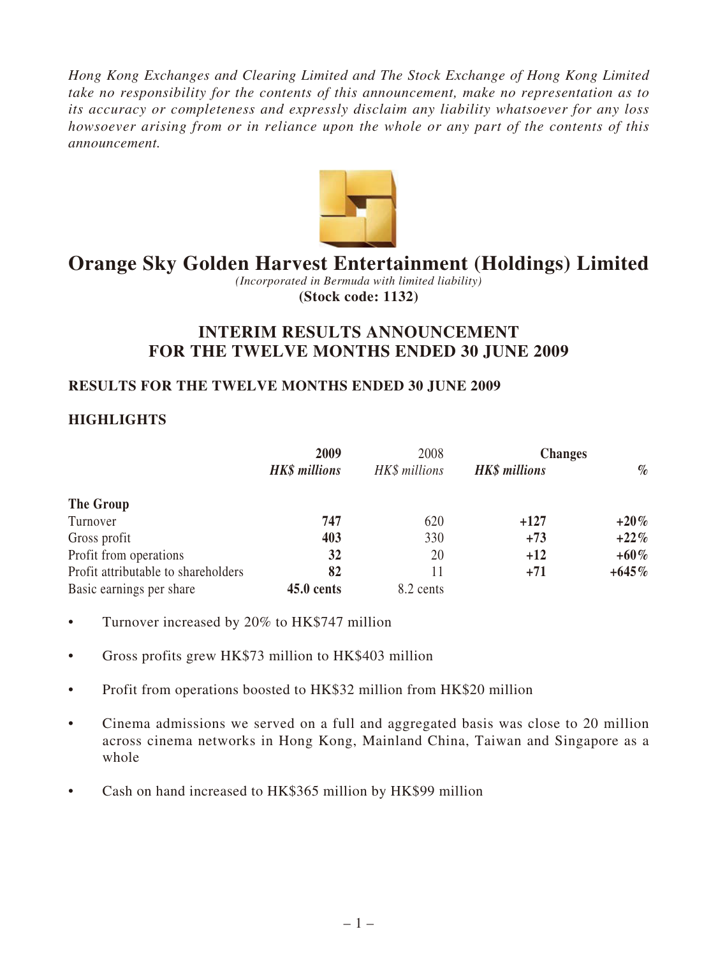*Hong Kong Exchanges and Clearing Limited and The Stock Exchange of Hong Kong Limited take no responsibility for the contents of this announcement, make no representation as to its accuracy or completeness and expressly disclaim any liability whatsoever for any loss howsoever arising from or in reliance upon the whole or any part of the contents of this announcement.*



# **Orange Sky Golden Harvest Entertainment (Holdings) Limited**

*(Incorporated in Bermuda with limited liability)* **(Stock code: 1132)**

# **INTERIM RESULTS ANNOUNCEMENT FOR THE TWELVE MONTHS ENDED 30 JUNE 2009**

### **RESULTS FOR THE TWELVE MONTHS ENDED 30 JUNE 2009**

# **HIGHLIGHTS**

|                                     | 2009                 | 2008          | <b>Changes</b>       |          |
|-------------------------------------|----------------------|---------------|----------------------|----------|
|                                     | <b>HK\$</b> millions | HK\$ millions | <b>HK\$</b> millions | $\%$     |
| The Group                           |                      |               |                      |          |
| Turnover                            | 747                  | 620           | $+127$               | $+20\%$  |
| Gross profit                        | 403                  | 330           | $+73$                | $+22\%$  |
| Profit from operations              | 32                   | 20            | $+12$                | $+60\%$  |
| Profit attributable to shareholders | 82                   |               | $+71$                | $+645\%$ |
| Basic earnings per share            | $45.0$ cents         | 8.2 cents     |                      |          |

- Turnover increased by 20% to HK\$747 million
- Gross profits grew HK\$73 million to HK\$403 million
- Profit from operations boosted to HK\$32 million from HK\$20 million
- Cinema admissions we served on a full and aggregated basis was close to 20 million across cinema networks in Hong Kong, Mainland China, Taiwan and Singapore as a whole
- Cash on hand increased to HK\$365 million by HK\$99 million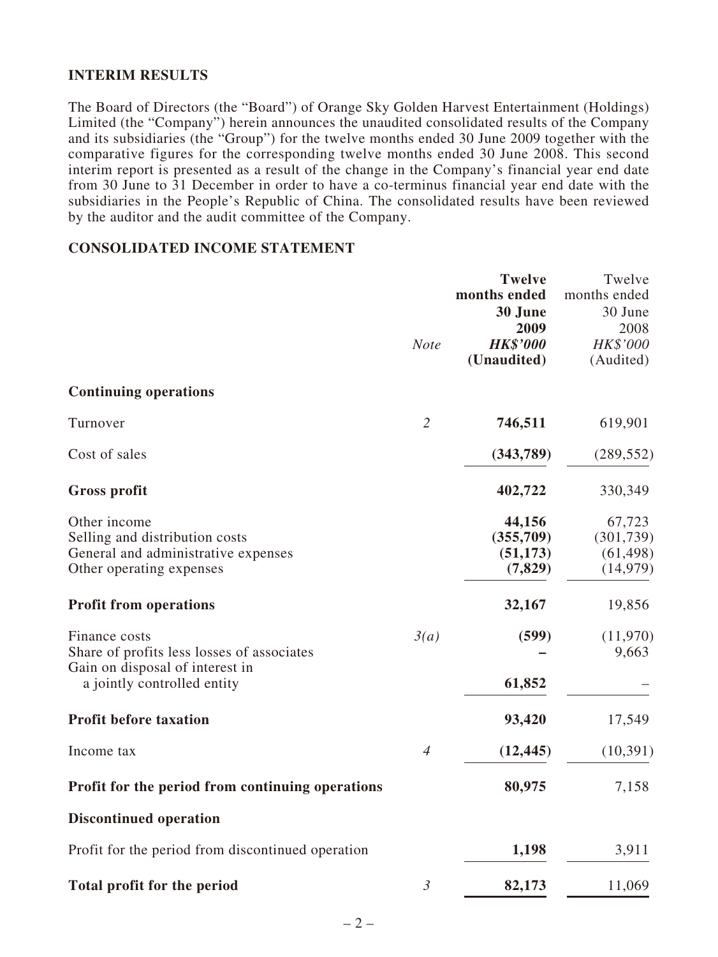### **INTERIM RESULTS**

The Board of Directors (the "Board") of Orange Sky Golden Harvest Entertainment (Holdings) Limited (the "Company") herein announces the unaudited consolidated results of the Company and its subsidiaries (the "Group") for the twelve months ended 30 June 2009 together with the comparative figures for the corresponding twelve months ended 30 June 2008. This second interim report is presented as a result of the change in the Company's financial year end date from 30 June to 31 December in order to have a co-terminus financial year end date with the subsidiaries in the People's Republic of China. The consolidated results have been reviewed by the auditor and the audit committee of the Company.

#### **CONSOLIDATED INCOME STATEMENT**

|                                                                                                                               |                | <b>Twelve</b><br>months ended<br>30 June<br>2009 | Twelve<br>months ended<br>30 June<br>2008      |
|-------------------------------------------------------------------------------------------------------------------------------|----------------|--------------------------------------------------|------------------------------------------------|
|                                                                                                                               | <b>Note</b>    | <b>HK\$'000</b><br>(Unaudited)                   | HK\$'000<br>(Audited)                          |
| <b>Continuing operations</b>                                                                                                  |                |                                                  |                                                |
| Turnover                                                                                                                      | $\overline{2}$ | 746,511                                          | 619,901                                        |
| Cost of sales                                                                                                                 |                | (343,789)                                        | (289, 552)                                     |
| <b>Gross profit</b>                                                                                                           |                | 402,722                                          | 330,349                                        |
| Other income<br>Selling and distribution costs<br>General and administrative expenses<br>Other operating expenses             |                | 44,156<br>(355,709)<br>(51, 173)<br>(7, 829)     | 67,723<br>(301, 739)<br>(61, 498)<br>(14, 979) |
| <b>Profit from operations</b>                                                                                                 |                | 32,167                                           | 19,856                                         |
| Finance costs<br>Share of profits less losses of associates<br>Gain on disposal of interest in<br>a jointly controlled entity | 3(a)           | (599)<br>61,852                                  | (11,970)<br>9,663                              |
| <b>Profit before taxation</b>                                                                                                 |                | 93,420                                           | 17,549                                         |
| Income tax                                                                                                                    | $\overline{4}$ | (12, 445)                                        | (10, 391)                                      |
| Profit for the period from continuing operations                                                                              |                | 80,975                                           | 7,158                                          |
| <b>Discontinued operation</b>                                                                                                 |                |                                                  |                                                |
| Profit for the period from discontinued operation                                                                             |                | 1,198                                            | 3,911                                          |
| <b>Total profit for the period</b>                                                                                            | $\mathfrak{Z}$ | 82,173                                           | 11,069                                         |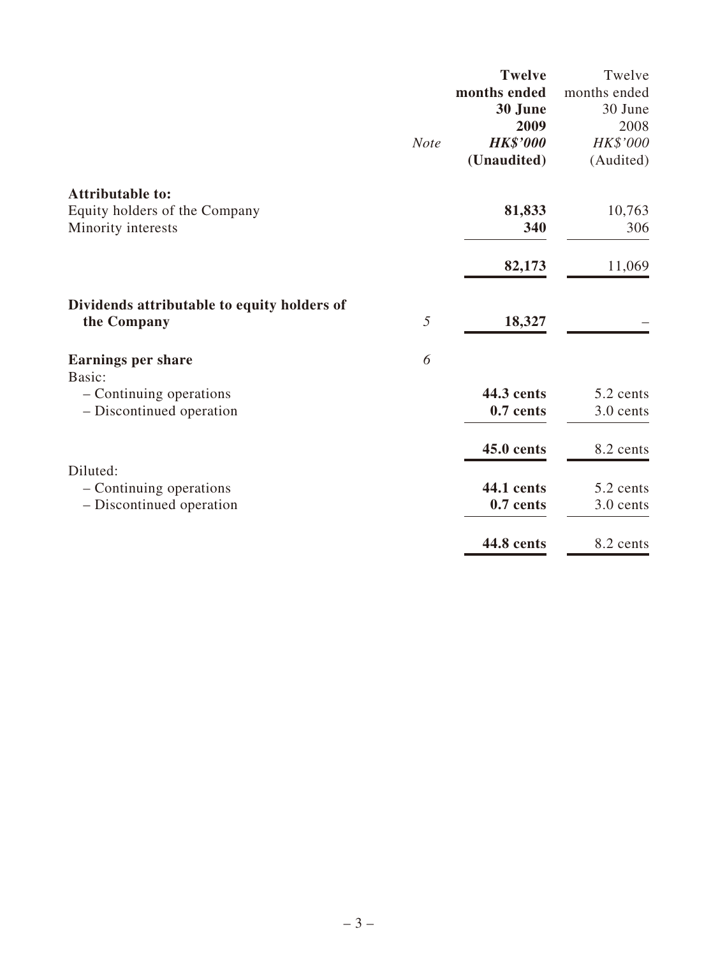|                                             |             | <b>Twelve</b>     | Twelve       |
|---------------------------------------------|-------------|-------------------|--------------|
|                                             |             | months ended      | months ended |
|                                             |             | 30 June           | 30 June      |
|                                             |             | 2009              | 2008         |
|                                             | <b>Note</b> | <b>HK\$'000</b>   | HK\$'000     |
|                                             |             | (Unaudited)       | (Audited)    |
| <b>Attributable to:</b>                     |             |                   |              |
| Equity holders of the Company               |             | 81,833            | 10,763       |
| Minority interests                          |             | 340               | 306          |
|                                             |             | 82,173            | 11,069       |
| Dividends attributable to equity holders of |             |                   |              |
| the Company                                 | 5           | 18,327            |              |
| <b>Earnings per share</b>                   | 6           |                   |              |
| Basic:                                      |             |                   |              |
| - Continuing operations                     |             | 44.3 cents        | 5.2 cents    |
| - Discontinued operation                    |             | 0.7 cents         | 3.0 cents    |
|                                             |             | <b>45.0 cents</b> | 8.2 cents    |
| Diluted:                                    |             |                   |              |
| - Continuing operations                     |             | <b>44.1 cents</b> | 5.2 cents    |
| - Discontinued operation                    |             | 0.7 cents         | 3.0 cents    |
|                                             |             | <b>44.8 cents</b> | 8.2 cents    |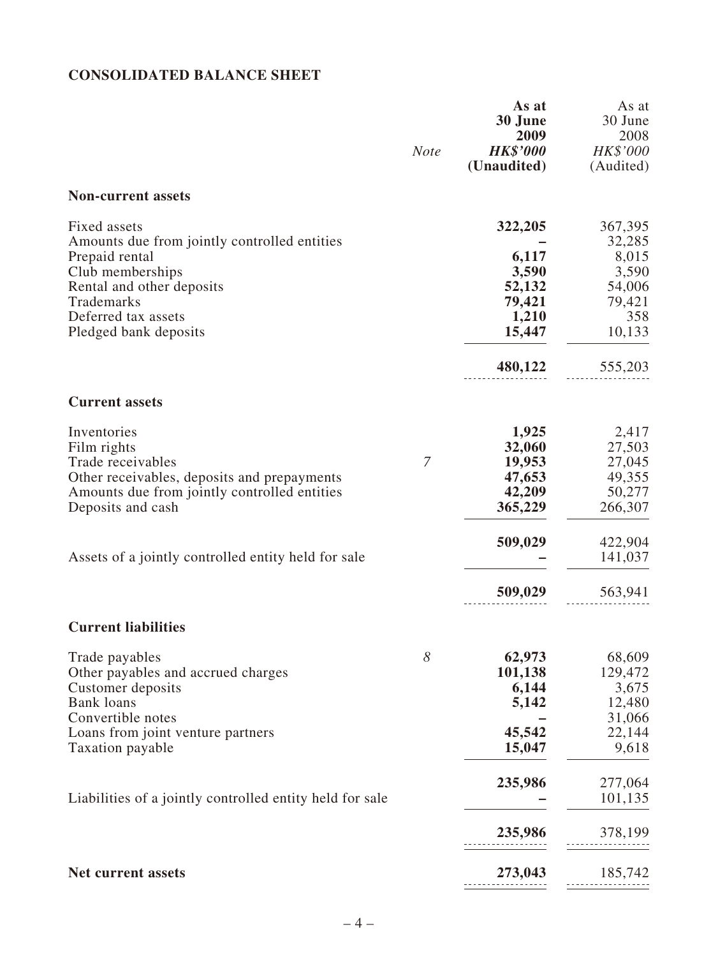# **CONSOLIDATED BALANCE SHEET**

|                                                                                                                                                                                               | <b>Note</b> | As at<br>30 June<br>2009<br><b>HK\$'000</b><br>(Unaudited)                  | As at<br>30 June<br>2008<br>HK\$'000<br>(Audited)                                   |
|-----------------------------------------------------------------------------------------------------------------------------------------------------------------------------------------------|-------------|-----------------------------------------------------------------------------|-------------------------------------------------------------------------------------|
| <b>Non-current assets</b>                                                                                                                                                                     |             |                                                                             |                                                                                     |
| Fixed assets<br>Amounts due from jointly controlled entities<br>Prepaid rental<br>Club memberships<br>Rental and other deposits<br>Trademarks<br>Deferred tax assets<br>Pledged bank deposits |             | 322,205<br>6,117<br>3,590<br>52,132<br>79,421<br>1,210<br>15,447<br>480,122 | 367,395<br>32,285<br>8,015<br>3,590<br>54,006<br>79,421<br>358<br>10,133<br>555,203 |
| <b>Current assets</b>                                                                                                                                                                         |             |                                                                             |                                                                                     |
| Inventories<br>Film rights<br>Trade receivables<br>Other receivables, deposits and prepayments<br>Amounts due from jointly controlled entities<br>Deposits and cash                           | 7           | 1,925<br>32,060<br>19,953<br>47,653<br>42,209<br>365,229                    | 2,417<br>27,503<br>27,045<br>49,355<br>50,277<br>266,307                            |
| Assets of a jointly controlled entity held for sale                                                                                                                                           |             | 509,029                                                                     | 422,904<br>141,037                                                                  |
|                                                                                                                                                                                               |             | 509,029                                                                     | 563,941                                                                             |
| <b>Current liabilities</b>                                                                                                                                                                    |             |                                                                             |                                                                                     |
| Trade payables<br>Other payables and accrued charges<br>Customer deposits<br><b>Bank</b> loans<br>Convertible notes                                                                           | 8           | 62,973<br>101,138<br>6,144<br>5,142                                         | 68,609<br>129,472<br>3,675<br>12,480<br>31,066                                      |
| Loans from joint venture partners<br>Taxation payable                                                                                                                                         |             | 45,542<br>15,047                                                            | 22,144<br>9,618                                                                     |
| Liabilities of a jointly controlled entity held for sale                                                                                                                                      |             | 235,986                                                                     | 277,064<br>101,135                                                                  |
|                                                                                                                                                                                               |             | 235,986                                                                     | 378,199                                                                             |
| <b>Net current assets</b>                                                                                                                                                                     |             | 273,043                                                                     | 185,742                                                                             |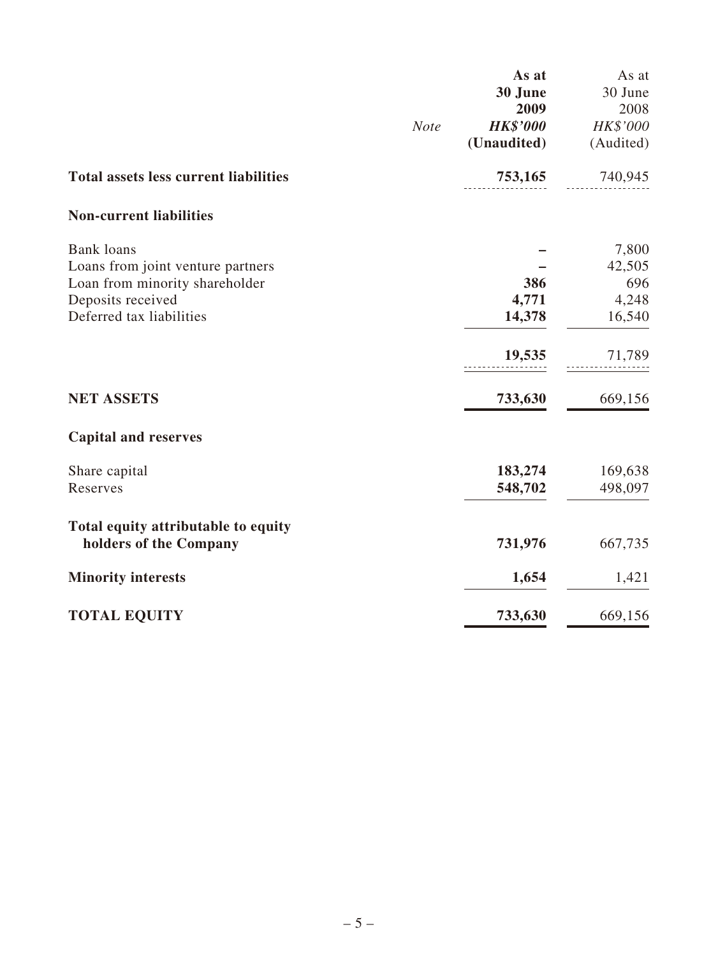|                                              | As at           | As at           |
|----------------------------------------------|-----------------|-----------------|
|                                              | 30 June<br>2009 | 30 June<br>2008 |
| <b>Note</b>                                  | <b>HK\$'000</b> | HK\$'000        |
|                                              | (Unaudited)     | (Audited)       |
| <b>Total assets less current liabilities</b> | 753,165         | 740,945         |
| <b>Non-current liabilities</b>               |                 |                 |
| <b>Bank</b> loans                            |                 | 7,800           |
| Loans from joint venture partners            |                 | 42,505          |
| Loan from minority shareholder               | 386             | 696             |
| Deposits received                            | 4,771           | 4,248           |
| Deferred tax liabilities                     | 14,378          | 16,540          |
|                                              | 19,535          | 71,789          |
| <b>NET ASSETS</b>                            | 733,630         | 669,156         |
| <b>Capital and reserves</b>                  |                 |                 |
| Share capital                                | 183,274         | 169,638         |
| Reserves                                     | 548,702         | 498,097         |
| Total equity attributable to equity          |                 |                 |
| holders of the Company                       | 731,976         | 667,735         |
| <b>Minority interests</b>                    | 1,654           | 1,421           |
| <b>TOTAL EQUITY</b>                          | 733,630         | 669,156         |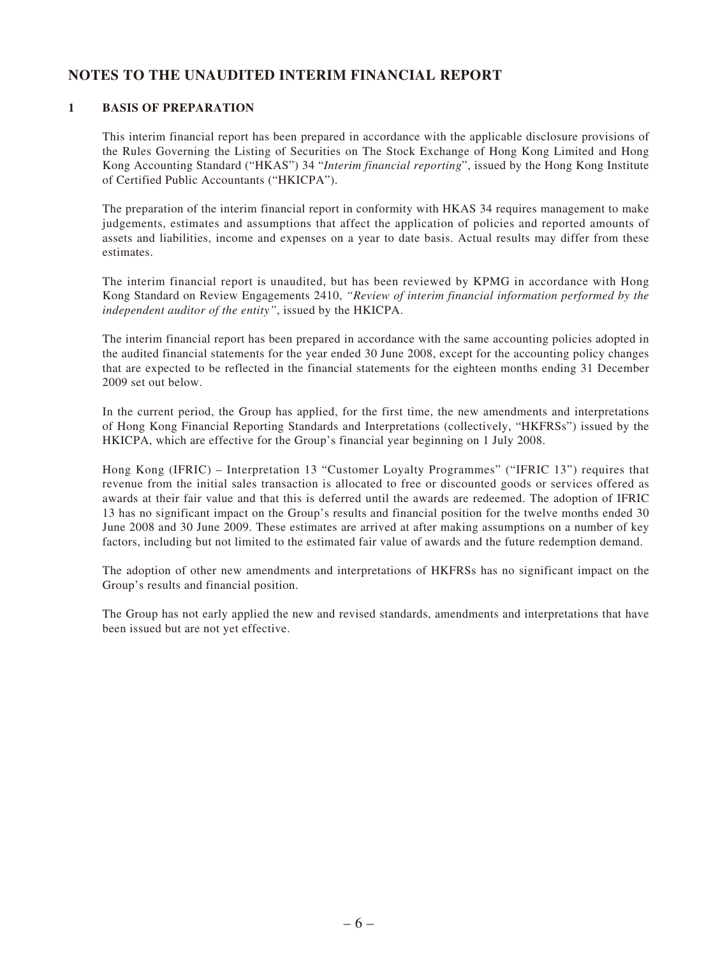### **NOTES TO THE UNAUDITED INTERIM FINANCIAL REPORT**

#### **1 BASIS OF PREPARATION**

This interim financial report has been prepared in accordance with the applicable disclosure provisions of the Rules Governing the Listing of Securities on The Stock Exchange of Hong Kong Limited and Hong Kong Accounting Standard ("HKAS") 34 "*Interim financial reporting*", issued by the Hong Kong Institute of Certified Public Accountants ("HKICPA").

The preparation of the interim financial report in conformity with HKAS 34 requires management to make judgements, estimates and assumptions that affect the application of policies and reported amounts of assets and liabilities, income and expenses on a year to date basis. Actual results may differ from these estimates.

The interim financial report is unaudited, but has been reviewed by KPMG in accordance with Hong Kong Standard on Review Engagements 2410, *"Review of interim financial information performed by the independent auditor of the entity"*, issued by the HKICPA.

The interim financial report has been prepared in accordance with the same accounting policies adopted in the audited financial statements for the year ended 30 June 2008, except for the accounting policy changes that are expected to be reflected in the financial statements for the eighteen months ending 31 December 2009 set out below.

In the current period, the Group has applied, for the first time, the new amendments and interpretations of Hong Kong Financial Reporting Standards and Interpretations (collectively, "HKFRSs") issued by the HKICPA, which are effective for the Group's financial year beginning on 1 July 2008.

Hong Kong (IFRIC) – Interpretation 13 "Customer Loyalty Programmes" ("IFRIC 13") requires that revenue from the initial sales transaction is allocated to free or discounted goods or services offered as awards at their fair value and that this is deferred until the awards are redeemed. The adoption of IFRIC 13 has no significant impact on the Group's results and financial position for the twelve months ended 30 June 2008 and 30 June 2009. These estimates are arrived at after making assumptions on a number of key factors, including but not limited to the estimated fair value of awards and the future redemption demand.

The adoption of other new amendments and interpretations of HKFRSs has no significant impact on the Group's results and financial position.

The Group has not early applied the new and revised standards, amendments and interpretations that have been issued but are not yet effective.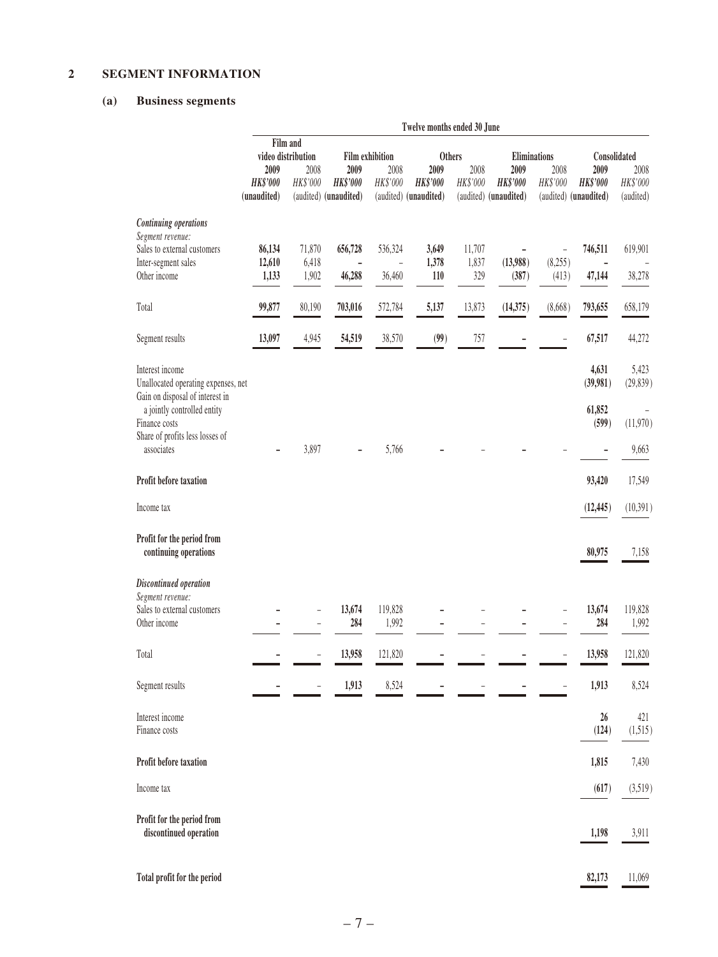#### **2 SEGMENT INFORMATION**

#### **(a) Business segments**

|                                                                                           | Twelve months ended 30 June            |                                                                           |                                                  |                          |                                                  |                  |                                                  |                                                      |                                                  |                               |
|-------------------------------------------------------------------------------------------|----------------------------------------|---------------------------------------------------------------------------|--------------------------------------------------|--------------------------|--------------------------------------------------|------------------|--------------------------------------------------|------------------------------------------------------|--------------------------------------------------|-------------------------------|
|                                                                                           |                                        | Film and<br>video distribution<br><b>Film exhibition</b><br><b>Others</b> |                                                  |                          |                                                  |                  | Eliminations                                     |                                                      | Consolidated                                     |                               |
|                                                                                           | 2009<br><b>HK\$'000</b><br>(unaudited) | 2008<br>HK\$'000                                                          | 2009<br><b>HK\$'000</b><br>(audited) (unaudited) | 2008<br>HK\$'000         | 2009<br><b>HK\$'000</b><br>(audited) (unaudited) | 2008<br>HK\$'000 | 2009<br><b>HK\$'000</b><br>(audited) (unaudited) | 2008<br>HK\$'000                                     | 2009<br><b>HK\$'000</b><br>(audited) (unaudited) | 2008<br>HK\$'000<br>(audited) |
| <b>Continuing operations</b>                                                              |                                        |                                                                           |                                                  |                          |                                                  |                  |                                                  |                                                      |                                                  |                               |
| Segment revenue:<br>Sales to external customers                                           | 86,134                                 | 71,870                                                                    | 656,728                                          | 536,324                  | 3,649                                            | 11,707           | $\overline{a}$                                   | $\overline{\phantom{a}}$                             | 746,511                                          | 619,901                       |
| Inter-segment sales<br>Other income                                                       | 12,610<br>1,133                        | 6,418<br>1,902                                                            | 46,288                                           | $\overline{a}$<br>36,460 | 1,378<br>110                                     | 1,837<br>329     | (13,988)<br>(387)                                | (8,255)<br>(413)                                     | $\overline{\phantom{0}}$<br>47,144               | 38,278                        |
| Total                                                                                     | 99,877                                 | 80,190                                                                    | 703,016                                          | 572,784                  | 5,137                                            | 13,873           | (14, 375)                                        | (8,668)                                              | 793,655                                          | 658,179                       |
| Segment results                                                                           | 13,097                                 | 4,945                                                                     | 54,519                                           | 38,570                   | (99)                                             | 757              |                                                  |                                                      | 67,517                                           | 44,272                        |
|                                                                                           |                                        |                                                                           |                                                  |                          |                                                  |                  |                                                  |                                                      |                                                  |                               |
| Interest income<br>Unallocated operating expenses, net<br>Gain on disposal of interest in |                                        |                                                                           |                                                  |                          |                                                  |                  |                                                  |                                                      | 4,631<br>(39,981)                                | 5,423<br>(29, 839)            |
| a jointly controlled entity<br>Finance costs                                              |                                        |                                                                           |                                                  |                          |                                                  |                  |                                                  |                                                      | 61,852<br>(599)                                  | (11,970)                      |
| Share of profits less losses of<br>associates                                             |                                        | 3,897                                                                     |                                                  | 5,766                    |                                                  |                  |                                                  |                                                      | -                                                | 9,663                         |
| Profit before taxation                                                                    |                                        |                                                                           |                                                  |                          |                                                  |                  |                                                  |                                                      | 93,420                                           | 17,549                        |
| Income tax                                                                                |                                        |                                                                           |                                                  |                          |                                                  |                  |                                                  |                                                      | (12, 445)                                        | (10, 391)                     |
| Profit for the period from<br>continuing operations                                       |                                        |                                                                           |                                                  |                          |                                                  |                  |                                                  |                                                      | 80,975                                           | 7,158                         |
| Discontinued operation                                                                    |                                        |                                                                           |                                                  |                          |                                                  |                  |                                                  |                                                      |                                                  |                               |
| Segment revenue:<br>Sales to external customers<br>Other income                           |                                        | ÷,<br>$\overline{a}$                                                      | 13,674<br>284                                    | 119,828<br>1,992         | -                                                |                  |                                                  | $\overline{\phantom{a}}$<br>$\overline{\phantom{0}}$ | 13,674<br>284                                    | 119,828<br>1,992              |
| Total                                                                                     |                                        | $\overline{\phantom{0}}$                                                  | 13,958                                           | 121,820                  |                                                  |                  |                                                  |                                                      | 13,958                                           | 121,820                       |
| Segment results                                                                           |                                        |                                                                           | 1,913                                            | 8,524                    |                                                  |                  |                                                  |                                                      | 1,913                                            | 8,524                         |
| Interest income<br>Finance costs                                                          |                                        |                                                                           |                                                  |                          |                                                  |                  |                                                  |                                                      | 26<br>(124)                                      | 421<br>(1, 515)               |
| Profit before taxation                                                                    |                                        |                                                                           |                                                  |                          |                                                  |                  |                                                  |                                                      | 1,815                                            | 7,430                         |
| Income tax                                                                                |                                        |                                                                           |                                                  |                          |                                                  |                  |                                                  |                                                      | (617)                                            | (3,519)                       |
| Profit for the period from<br>discontinued operation                                      |                                        |                                                                           |                                                  |                          |                                                  |                  |                                                  |                                                      | 1,198                                            | 3,911                         |
| Total profit for the period                                                               |                                        |                                                                           |                                                  |                          |                                                  |                  |                                                  |                                                      | 82,173                                           | 11,069                        |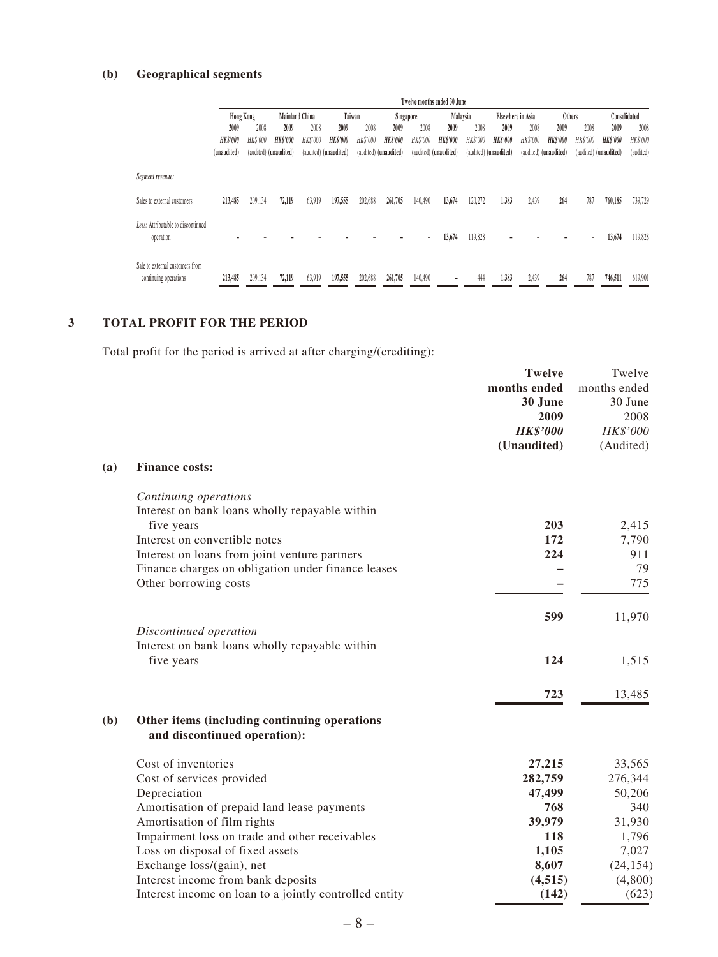#### **(b) Geographical segments**

|                                                          |             | Twelve months ended 30 June |                       |                                 |                       |          |                       |                          |                       |                   |                       |                        |                       |          |                       |           |
|----------------------------------------------------------|-------------|-----------------------------|-----------------------|---------------------------------|-----------------------|----------|-----------------------|--------------------------|-----------------------|-------------------|-----------------------|------------------------|-----------------------|----------|-----------------------|-----------|
|                                                          | Hong Kong   |                             |                       | Taiwan<br><b>Mainland China</b> |                       |          | Malaysia<br>Singapore |                          |                       | Elsewhere in Asia |                       | Consolidated<br>Others |                       |          |                       |           |
|                                                          | 2009        | 2008                        | 2009                  | 2008                            | 2009                  | 2008     | 2009                  | 2008                     | 2009                  | 2008              | 2009                  | 2008                   | 2009                  | 2008     | 2009                  | 2008      |
|                                                          | HK\$'000    | HK\$'000                    | HK\$'000              | <b>HK\$'000</b>                 | <b>HK\$'000</b>       | HK\$'000 | <b>HK\$'000</b>       | HK\$'000                 | <b>HK\$'000</b>       | HK\$'000          | <b>HK\$'000</b>       | HK\$'000               | <b>HK\$'000</b>       | HK\$'000 | <b>HK\$'000</b>       | HK\$'000  |
|                                                          | (unaudited) |                             | (audited) (unaudited) |                                 | (audited) (unaudited) |          | (audited) (unaudited) |                          | (audited) (unaudited) |                   | (audited) (unaudited) |                        | (audited) (unaudited) |          | (audited) (unaudited) | (audited) |
| Segment revenue:                                         |             |                             |                       |                                 |                       |          |                       |                          |                       |                   |                       |                        |                       |          |                       |           |
| Sales to external customers                              | 213,485     | 209,134                     | 72,119                | 63,919                          | 197,555               | 202.688  | 261,705               | 140,490                  | 13,674                | 120.272           | 1.383                 | 2.439                  | 264                   | 787      | 760,185               | 739,729   |
| Less: Attributable to discontinued<br>operation          |             |                             |                       |                                 |                       |          |                       | $\overline{\phantom{a}}$ | 13,674                | 119,828           |                       |                        |                       |          | 13,674                | 119,828   |
| Sale to external customers from<br>continuing operations | 213,485     | 209.134                     | 72,119                | 63,919                          | 197,555               | 202,688  | 261,705               | 140,490                  |                       | 444               | 1.383                 | 2.439                  | 264                   | 787      | 746,511               | 619,901   |

#### **3 TOTAL PROFIT FOR THE PERIOD**

Total profit for the period is arrived at after charging/(crediting):

|     |                                                        | <b>Twelve</b>   | Twelve       |
|-----|--------------------------------------------------------|-----------------|--------------|
|     |                                                        | months ended    | months ended |
|     |                                                        | 30 June         | 30 June      |
|     |                                                        | 2009            | 2008         |
|     |                                                        | <b>HK\$'000</b> | HK\$'000     |
|     |                                                        | (Unaudited)     | (Audited)    |
| (a) | <b>Finance costs:</b>                                  |                 |              |
|     | Continuing operations                                  |                 |              |
|     | Interest on bank loans wholly repayable within         |                 |              |
|     | five years                                             | 203             | 2,415        |
|     | Interest on convertible notes                          | 172             | 7,790        |
|     | Interest on loans from joint venture partners          | 224             | 911          |
|     | Finance charges on obligation under finance leases     |                 | 79           |
|     | Other borrowing costs                                  |                 | 775          |
|     |                                                        | 599             | 11,970       |
|     | Discontinued operation                                 |                 |              |
|     | Interest on bank loans wholly repayable within         |                 |              |
|     | five years                                             | 124             | 1,515        |
|     |                                                        | 723             | 13,485       |
| (b) | Other items (including continuing operations           |                 |              |
|     | and discontinued operation):                           |                 |              |
|     | Cost of inventories                                    | 27,215          | 33,565       |
|     | Cost of services provided                              | 282,759         | 276,344      |
|     | Depreciation                                           | 47,499          | 50,206       |
|     | Amortisation of prepaid land lease payments            | 768             | 340          |
|     | Amortisation of film rights                            | 39,979          | 31,930       |
|     | Impairment loss on trade and other receivables         | 118             | 1,796        |
|     | Loss on disposal of fixed assets                       | 1,105           | 7,027        |
|     | Exchange loss/(gain), net                              | 8,607           | (24, 154)    |
|     | Interest income from bank deposits                     | (4,515)         | (4,800)      |
|     | Interest income on loan to a jointly controlled entity | (142)           | (623)        |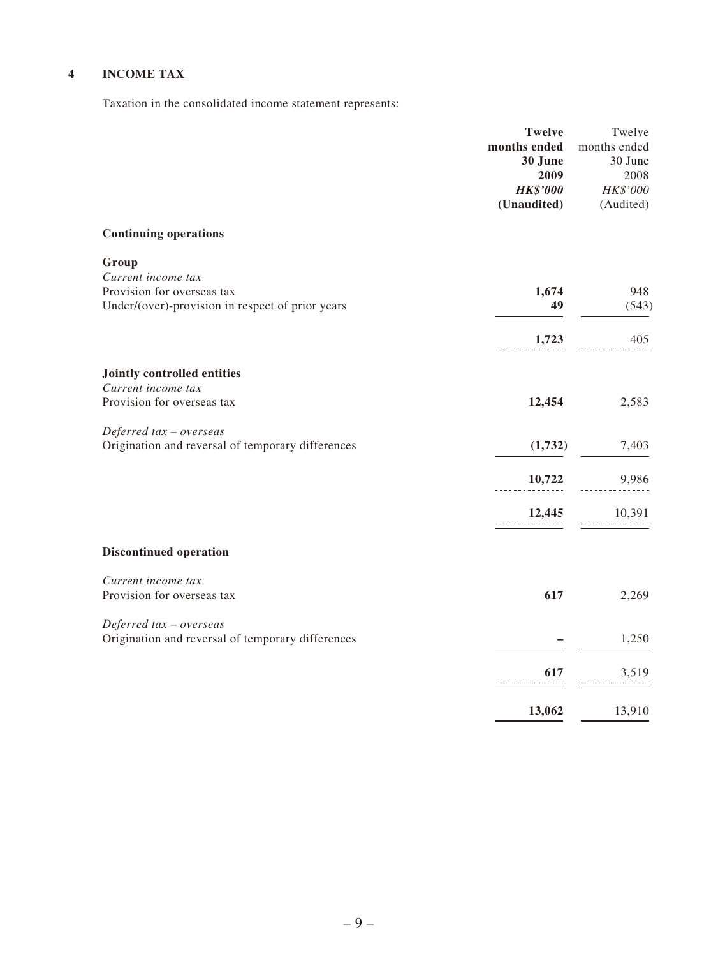### **4 INCOME TAX**

Taxation in the consolidated income statement represents:

|                                                                                                               | <b>Twelve</b><br>months ended<br>30 June<br>2009<br><b>HK\$'000</b><br>(Unaudited) | Twelve<br>months ended<br>30 June<br>2008<br>$HK\$ '000<br>(Audited) |
|---------------------------------------------------------------------------------------------------------------|------------------------------------------------------------------------------------|----------------------------------------------------------------------|
| <b>Continuing operations</b>                                                                                  |                                                                                    |                                                                      |
| Group<br>Current income tax<br>Provision for overseas tax<br>Under/(over)-provision in respect of prior years | 1,674<br>49                                                                        | 948<br>(543)                                                         |
|                                                                                                               | 1,723                                                                              | 405                                                                  |
| Jointly controlled entities                                                                                   |                                                                                    |                                                                      |
| Current income tax<br>Provision for overseas tax                                                              | 12,454                                                                             | 2,583                                                                |
| Deferred tax - overseas<br>Origination and reversal of temporary differences                                  | (1,732)                                                                            | 7,403                                                                |
|                                                                                                               | 10,722                                                                             | 9,986                                                                |
|                                                                                                               | 12,445<br>.                                                                        | 10,391                                                               |
| <b>Discontinued operation</b>                                                                                 |                                                                                    |                                                                      |
| Current income tax<br>Provision for overseas tax                                                              | 617                                                                                | 2,269                                                                |
| Deferred tax - overseas<br>Origination and reversal of temporary differences                                  |                                                                                    | 1,250                                                                |
|                                                                                                               | 617                                                                                | 3,519                                                                |
|                                                                                                               | 13,062                                                                             | 13,910                                                               |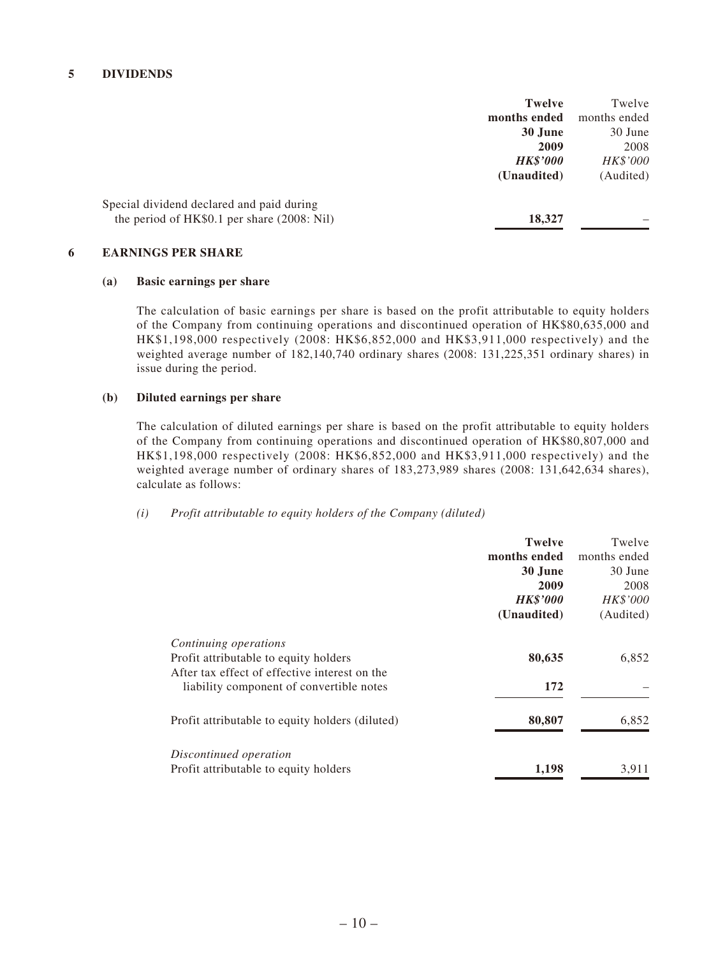|                                             | <b>Twelve</b>   | Twelve       |
|---------------------------------------------|-----------------|--------------|
|                                             | months ended    | months ended |
|                                             | 30 June         | 30 June      |
|                                             | 2009            | 2008         |
|                                             | <b>HK\$'000</b> | HK\$'000     |
|                                             | (Unaudited)     | (Audited)    |
| Special dividend declared and paid during   |                 |              |
| the period of HK\$0.1 per share (2008: Nil) | 18,327          |              |
|                                             |                 |              |

#### **6 EARNINGS PER SHARE**

#### **(a) Basic earnings per share**

The calculation of basic earnings per share is based on the profit attributable to equity holders of the Company from continuing operations and discontinued operation of HK\$80,635,000 and HK\$1,198,000 respectively (2008: HK\$6,852,000 and HK\$3,911,000 respectively) and the weighted average number of 182,140,740 ordinary shares (2008: 131,225,351 ordinary shares) in issue during the period.

#### **(b) Diluted earnings per share**

The calculation of diluted earnings per share is based on the profit attributable to equity holders of the Company from continuing operations and discontinued operation of HK\$80,807,000 and HK\$1,198,000 respectively (2008: HK\$6,852,000 and HK\$3,911,000 respectively) and the weighted average number of ordinary shares of 183,273,989 shares (2008: 131,642,634 shares), calculate as follows:

#### *(i) Profit attributable to equity holders of the Company (diluted)*

|                                                 | <b>Twelve</b>   | Twelve       |
|-------------------------------------------------|-----------------|--------------|
|                                                 | months ended    | months ended |
|                                                 | 30 June         | 30 June      |
|                                                 | 2009            | 2008         |
|                                                 | <b>HK\$'000</b> | HK\$'000     |
|                                                 | (Unaudited)     | (Audited)    |
| Continuing operations                           |                 |              |
| Profit attributable to equity holders           | 80,635          | 6,852        |
| After tax effect of effective interest on the   |                 |              |
| liability component of convertible notes        | 172             |              |
| Profit attributable to equity holders (diluted) | 80,807          | 6,852        |
| Discontinued operation                          |                 |              |
| Profit attributable to equity holders           | 1,198           | 3,911        |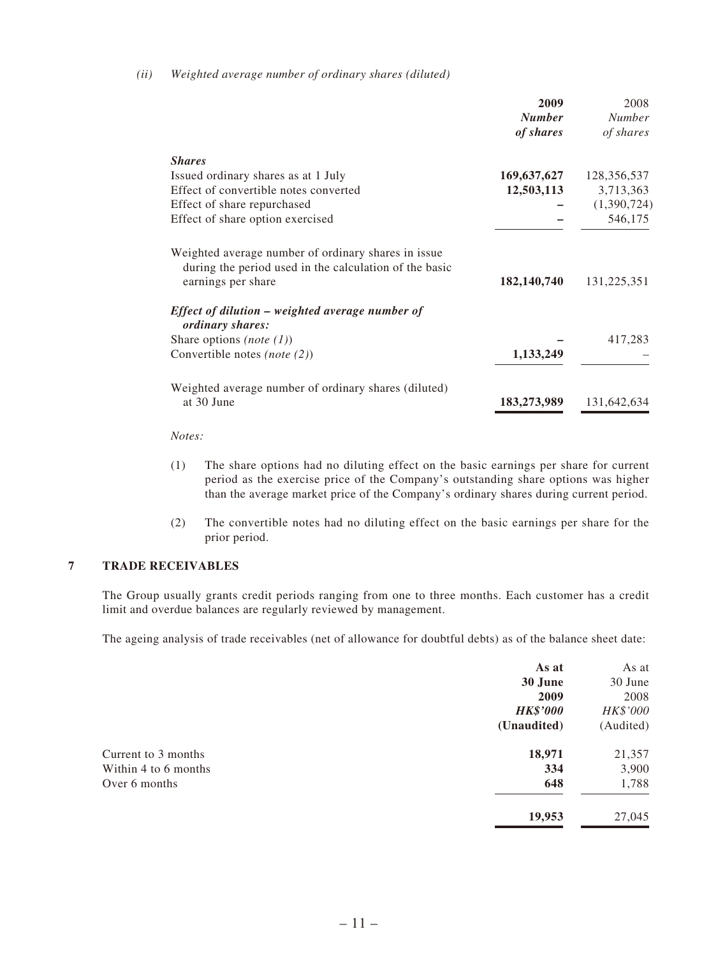#### *(ii) Weighted average number of ordinary shares (diluted)*

|                                                                                                               | 2009<br><b>Number</b><br>of shares | 2008<br><b>Number</b><br>of shares |
|---------------------------------------------------------------------------------------------------------------|------------------------------------|------------------------------------|
| <b>Shares</b>                                                                                                 |                                    |                                    |
| Issued ordinary shares as at 1 July                                                                           | 169,637,627                        | 128,356,537                        |
| Effect of convertible notes converted                                                                         | 12,503,113                         | 3,713,363                          |
| Effect of share repurchased                                                                                   |                                    | (1,390,724)                        |
| Effect of share option exercised                                                                              |                                    | 546,175                            |
| Weighted average number of ordinary shares in issue<br>during the period used in the calculation of the basic |                                    |                                    |
| earnings per share                                                                                            | 182,140,740                        | 131,225,351                        |
| Effect of dilution – weighted average number of<br>ordinary shares:                                           |                                    |                                    |
| Share options ( <i>note</i> $(1)$ )                                                                           |                                    | 417,283                            |
| Convertible notes (note $(2)$ )                                                                               | 1,133,249                          |                                    |
| Weighted average number of ordinary shares (diluted)<br>at 30 June                                            | 183,273,989                        | 131,642,634                        |

#### *Notes:*

- (1) The share options had no diluting effect on the basic earnings per share for current period as the exercise price of the Company's outstanding share options was higher than the average market price of the Company's ordinary shares during current period.
- (2) The convertible notes had no diluting effect on the basic earnings per share for the prior period.

#### **7 TRADE RECEIVABLES**

The Group usually grants credit periods ranging from one to three months. Each customer has a credit limit and overdue balances are regularly reviewed by management.

The ageing analysis of trade receivables (net of allowance for doubtful debts) as of the balance sheet date:

| As at           | As at     |
|-----------------|-----------|
| 30 June         | 30 June   |
| 2009            | 2008      |
| <b>HK\$'000</b> | HK\$'000  |
| (Unaudited)     | (Audited) |
| 18,971          | 21,357    |
| 334             | 3,900     |
| 648             | 1,788     |
| 19,953          | 27,045    |
|                 |           |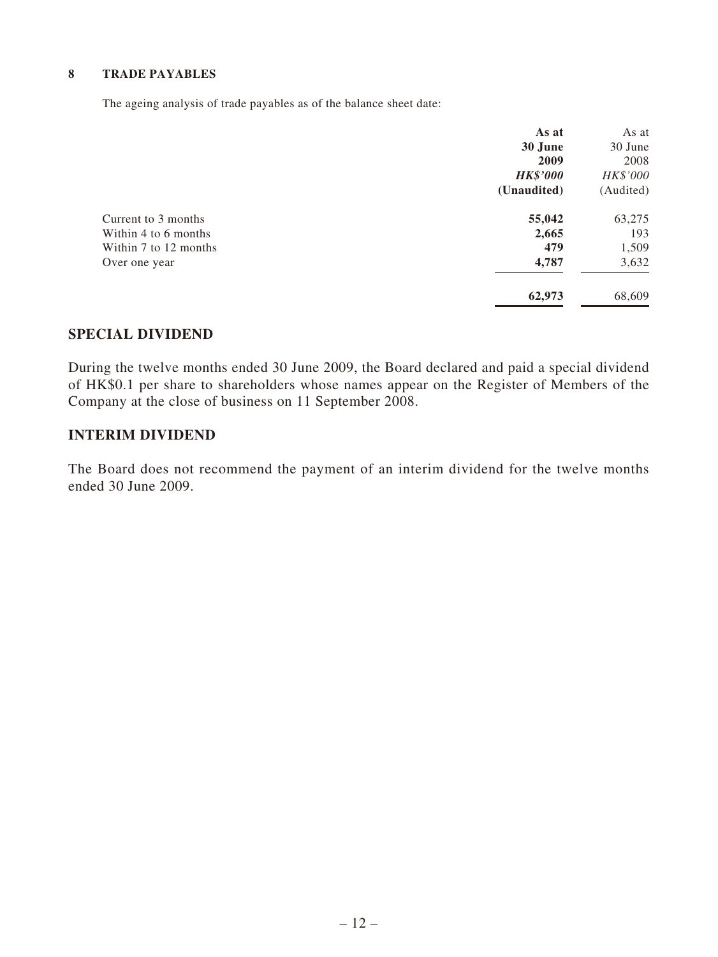#### **8 TRADE PAYABLES**

The ageing analysis of trade payables as of the balance sheet date:

|                       | As at           | As at     |
|-----------------------|-----------------|-----------|
|                       | 30 June         | 30 June   |
|                       | 2009            | 2008      |
|                       | <b>HK\$'000</b> | HK\$'000  |
|                       | (Unaudited)     | (Audited) |
| Current to 3 months   | 55,042          | 63,275    |
| Within 4 to 6 months  | 2,665           | 193       |
| Within 7 to 12 months | 479             | 1,509     |
| Over one year         | 4,787           | 3,632     |
|                       | 62,973          | 68,609    |

### **SPECIAL DIVIDEND**

During the twelve months ended 30 June 2009, the Board declared and paid a special dividend of HK\$0.1 per share to shareholders whose names appear on the Register of Members of the Company at the close of business on 11 September 2008.

#### **INTERIM DIVIDEND**

The Board does not recommend the payment of an interim dividend for the twelve months ended 30 June 2009.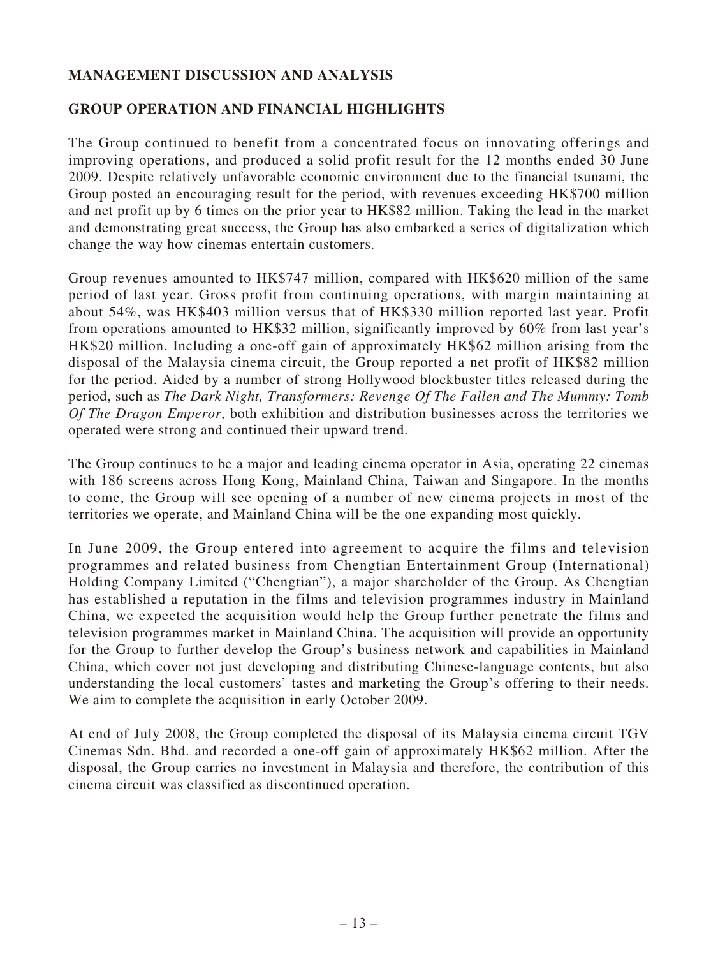### **MANAGEMENT DISCUSSION AND ANALYSIS**

### **GROUP OPERATION AND FINANCIAL HIGHLIGHTS**

The Group continued to benefit from a concentrated focus on innovating offerings and improving operations, and produced a solid profit result for the 12 months ended 30 June 2009. Despite relatively unfavorable economic environment due to the financial tsunami, the Group posted an encouraging result for the period, with revenues exceeding HK\$700 million and net profit up by 6 times on the prior year to HK\$82 million. Taking the lead in the market and demonstrating great success, the Group has also embarked a series of digitalization which change the way how cinemas entertain customers.

Group revenues amounted to HK\$747 million, compared with HK\$620 million of the same period of last year. Gross profit from continuing operations, with margin maintaining at about 54%, was HK\$403 million versus that of HK\$330 million reported last year. Profit from operations amounted to HK\$32 million, significantly improved by 60% from last year's HK\$20 million. Including a one-off gain of approximately HK\$62 million arising from the disposal of the Malaysia cinema circuit, the Group reported a net profit of HK\$82 million for the period. Aided by a number of strong Hollywood blockbuster titles released during the period, such as *The Dark Night, Transformers: Revenge Of The Fallen and The Mummy: Tomb Of The Dragon Emperor*, both exhibition and distribution businesses across the territories we operated were strong and continued their upward trend.

The Group continues to be a major and leading cinema operator in Asia, operating 22 cinemas with 186 screens across Hong Kong, Mainland China, Taiwan and Singapore. In the months to come, the Group will see opening of a number of new cinema projects in most of the territories we operate, and Mainland China will be the one expanding most quickly.

In June 2009, the Group entered into agreement to acquire the films and television programmes and related business from Chengtian Entertainment Group (International) Holding Company Limited ("Chengtian"), a major shareholder of the Group. As Chengtian has established a reputation in the films and television programmes industry in Mainland China, we expected the acquisition would help the Group further penetrate the films and television programmes market in Mainland China. The acquisition will provide an opportunity for the Group to further develop the Group's business network and capabilities in Mainland China, which cover not just developing and distributing Chinese-language contents, but also understanding the local customers' tastes and marketing the Group's offering to their needs. We aim to complete the acquisition in early October 2009.

At end of July 2008, the Group completed the disposal of its Malaysia cinema circuit TGV Cinemas Sdn. Bhd. and recorded a one-off gain of approximately HK\$62 million. After the disposal, the Group carries no investment in Malaysia and therefore, the contribution of this cinema circuit was classified as discontinued operation.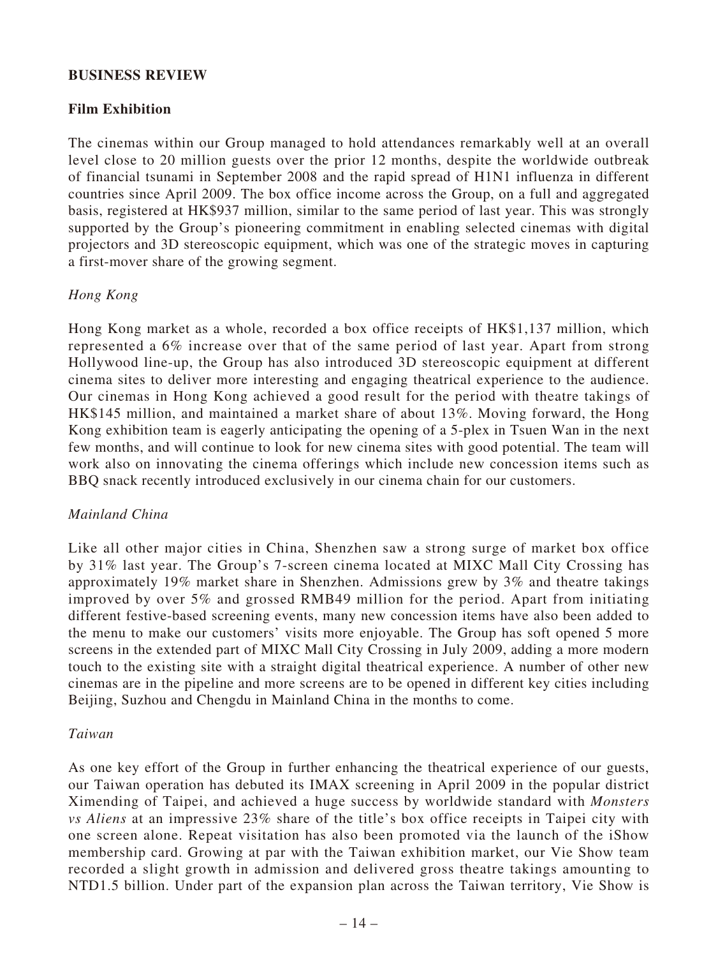#### **BUSINESS REVIEW**

### **Film Exhibition**

The cinemas within our Group managed to hold attendances remarkably well at an overall level close to 20 million guests over the prior 12 months, despite the worldwide outbreak of financial tsunami in September 2008 and the rapid spread of H1N1 influenza in different countries since April 2009. The box office income across the Group, on a full and aggregated basis, registered at HK\$937 million, similar to the same period of last year. This was strongly supported by the Group's pioneering commitment in enabling selected cinemas with digital projectors and 3D stereoscopic equipment, which was one of the strategic moves in capturing a first-mover share of the growing segment.

### *Hong Kong*

Hong Kong market as a whole, recorded a box office receipts of HK\$1,137 million, which represented a 6% increase over that of the same period of last year. Apart from strong Hollywood line-up, the Group has also introduced 3D stereoscopic equipment at different cinema sites to deliver more interesting and engaging theatrical experience to the audience. Our cinemas in Hong Kong achieved a good result for the period with theatre takings of HK\$145 million, and maintained a market share of about 13%. Moving forward, the Hong Kong exhibition team is eagerly anticipating the opening of a 5-plex in Tsuen Wan in the next few months, and will continue to look for new cinema sites with good potential. The team will work also on innovating the cinema offerings which include new concession items such as BBQ snack recently introduced exclusively in our cinema chain for our customers.

### *Mainland China*

Like all other major cities in China, Shenzhen saw a strong surge of market box office by 31% last year. The Group's 7-screen cinema located at MIXC Mall City Crossing has approximately 19% market share in Shenzhen. Admissions grew by 3% and theatre takings improved by over 5% and grossed RMB49 million for the period. Apart from initiating different festive-based screening events, many new concession items have also been added to the menu to make our customers' visits more enjoyable. The Group has soft opened 5 more screens in the extended part of MIXC Mall City Crossing in July 2009, adding a more modern touch to the existing site with a straight digital theatrical experience. A number of other new cinemas are in the pipeline and more screens are to be opened in different key cities including Beijing, Suzhou and Chengdu in Mainland China in the months to come.

### *Taiwan*

As one key effort of the Group in further enhancing the theatrical experience of our guests, our Taiwan operation has debuted its IMAX screening in April 2009 in the popular district Ximending of Taipei, and achieved a huge success by worldwide standard with *Monsters vs Aliens* at an impressive 23% share of the title's box office receipts in Taipei city with one screen alone. Repeat visitation has also been promoted via the launch of the iShow membership card. Growing at par with the Taiwan exhibition market, our Vie Show team recorded a slight growth in admission and delivered gross theatre takings amounting to NTD1.5 billion. Under part of the expansion plan across the Taiwan territory, Vie Show is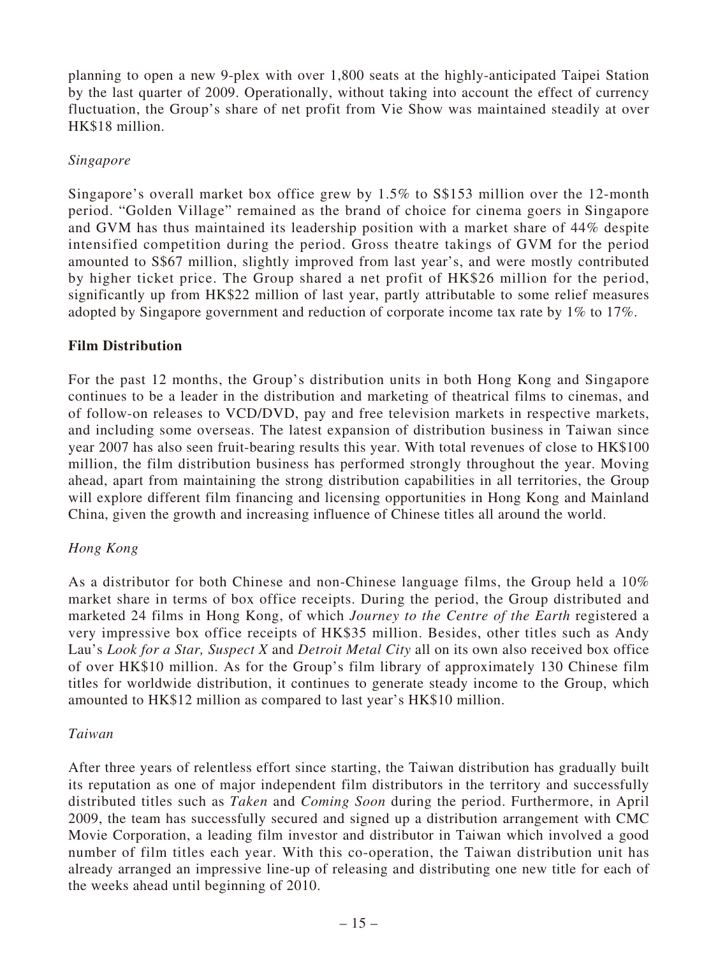planning to open a new 9-plex with over 1,800 seats at the highly-anticipated Taipei Station by the last quarter of 2009. Operationally, without taking into account the effect of currency fluctuation, the Group's share of net profit from Vie Show was maintained steadily at over HK\$18 million.

#### *Singapore*

Singapore's overall market box office grew by 1.5% to S\$153 million over the 12-month period. "Golden Village" remained as the brand of choice for cinema goers in Singapore and GVM has thus maintained its leadership position with a market share of 44% despite intensified competition during the period. Gross theatre takings of GVM for the period amounted to S\$67 million, slightly improved from last year's, and were mostly contributed by higher ticket price. The Group shared a net profit of HK\$26 million for the period, significantly up from HK\$22 million of last year, partly attributable to some relief measures adopted by Singapore government and reduction of corporate income tax rate by 1% to 17%.

#### **Film Distribution**

For the past 12 months, the Group's distribution units in both Hong Kong and Singapore continues to be a leader in the distribution and marketing of theatrical films to cinemas, and of follow-on releases to VCD/DVD, pay and free television markets in respective markets, and including some overseas. The latest expansion of distribution business in Taiwan since year 2007 has also seen fruit-bearing results this year. With total revenues of close to HK\$100 million, the film distribution business has performed strongly throughout the year. Moving ahead, apart from maintaining the strong distribution capabilities in all territories, the Group will explore different film financing and licensing opportunities in Hong Kong and Mainland China, given the growth and increasing influence of Chinese titles all around the world.

### *Hong Kong*

As a distributor for both Chinese and non-Chinese language films, the Group held a 10% market share in terms of box office receipts. During the period, the Group distributed and marketed 24 films in Hong Kong, of which *Journey to the Centre of the Earth* registered a very impressive box office receipts of HK\$35 million. Besides, other titles such as Andy Lau's *Look for a Star, Suspect X* and *Detroit Metal City* all on its own also received box office of over HK\$10 million. As for the Group's film library of approximately 130 Chinese film titles for worldwide distribution, it continues to generate steady income to the Group, which amounted to HK\$12 million as compared to last year's HK\$10 million.

#### *Taiwan*

After three years of relentless effort since starting, the Taiwan distribution has gradually built its reputation as one of major independent film distributors in the territory and successfully distributed titles such as *Taken* and *Coming Soon* during the period. Furthermore, in April 2009, the team has successfully secured and signed up a distribution arrangement with CMC Movie Corporation, a leading film investor and distributor in Taiwan which involved a good number of film titles each year. With this co-operation, the Taiwan distribution unit has already arranged an impressive line-up of releasing and distributing one new title for each of the weeks ahead until beginning of 2010.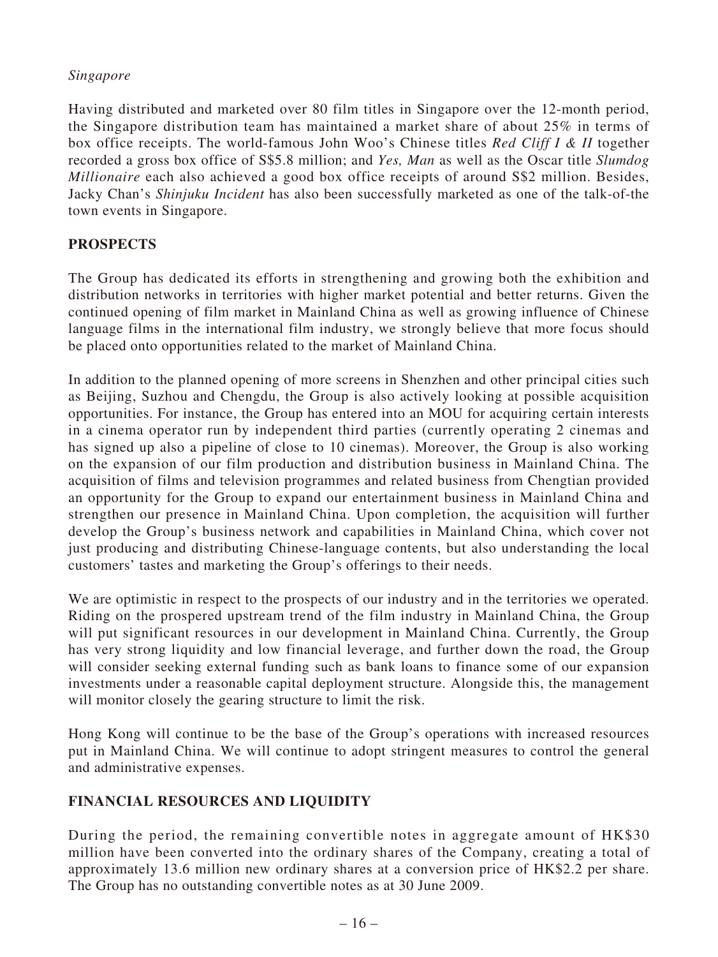### *Singapore*

Having distributed and marketed over 80 film titles in Singapore over the 12-month period, the Singapore distribution team has maintained a market share of about 25% in terms of box office receipts. The world-famous John Woo's Chinese titles *Red Cliff I & II* together recorded a gross box office of S\$5.8 million; and *Yes, Man* as well as the Oscar title *Slumdog Millionaire* each also achieved a good box office receipts of around S\$2 million. Besides, Jacky Chan's *Shinjuku Incident* has also been successfully marketed as one of the talk-of-the town events in Singapore.

### **PROSPECTS**

The Group has dedicated its efforts in strengthening and growing both the exhibition and distribution networks in territories with higher market potential and better returns. Given the continued opening of film market in Mainland China as well as growing influence of Chinese language films in the international film industry, we strongly believe that more focus should be placed onto opportunities related to the market of Mainland China.

In addition to the planned opening of more screens in Shenzhen and other principal cities such as Beijing, Suzhou and Chengdu, the Group is also actively looking at possible acquisition opportunities. For instance, the Group has entered into an MOU for acquiring certain interests in a cinema operator run by independent third parties (currently operating 2 cinemas and has signed up also a pipeline of close to 10 cinemas). Moreover, the Group is also working on the expansion of our film production and distribution business in Mainland China. The acquisition of films and television programmes and related business from Chengtian provided an opportunity for the Group to expand our entertainment business in Mainland China and strengthen our presence in Mainland China. Upon completion, the acquisition will further develop the Group's business network and capabilities in Mainland China, which cover not just producing and distributing Chinese-language contents, but also understanding the local customers' tastes and marketing the Group's offerings to their needs.

We are optimistic in respect to the prospects of our industry and in the territories we operated. Riding on the prospered upstream trend of the film industry in Mainland China, the Group will put significant resources in our development in Mainland China. Currently, the Group has very strong liquidity and low financial leverage, and further down the road, the Group will consider seeking external funding such as bank loans to finance some of our expansion investments under a reasonable capital deployment structure. Alongside this, the management will monitor closely the gearing structure to limit the risk.

Hong Kong will continue to be the base of the Group's operations with increased resources put in Mainland China. We will continue to adopt stringent measures to control the general and administrative expenses.

### **FINANCIAL RESOURCES AND LIQUIDITY**

During the period, the remaining convertible notes in aggregate amount of HK\$30 million have been converted into the ordinary shares of the Company, creating a total of approximately 13.6 million new ordinary shares at a conversion price of HK\$2.2 per share. The Group has no outstanding convertible notes as at 30 June 2009.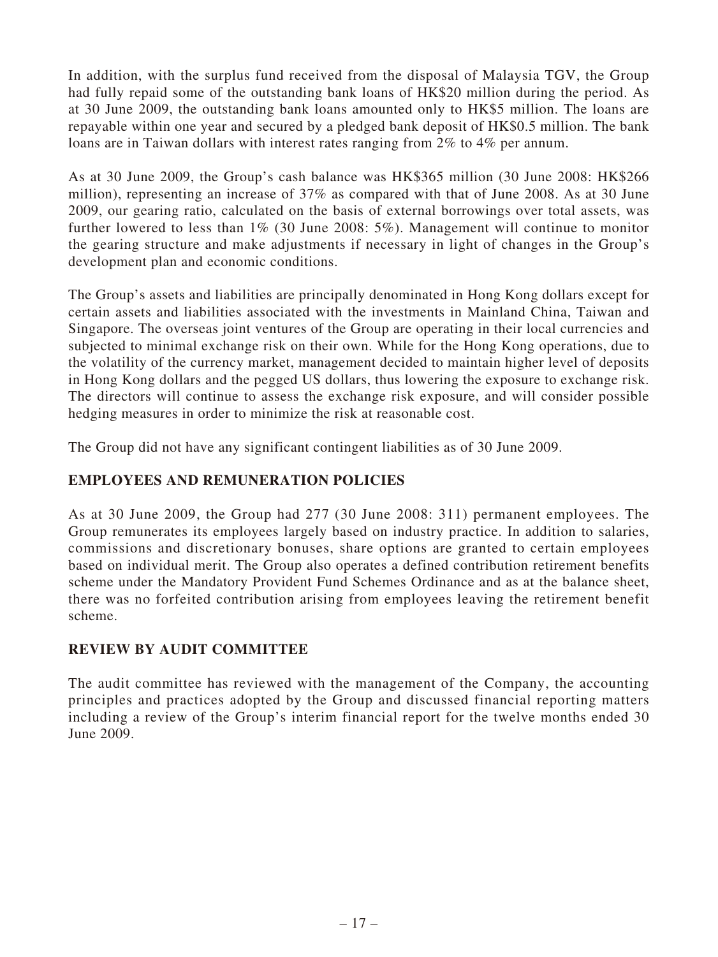In addition, with the surplus fund received from the disposal of Malaysia TGV, the Group had fully repaid some of the outstanding bank loans of HK\$20 million during the period. As at 30 June 2009, the outstanding bank loans amounted only to HK\$5 million. The loans are repayable within one year and secured by a pledged bank deposit of HK\$0.5 million. The bank loans are in Taiwan dollars with interest rates ranging from 2% to 4% per annum.

As at 30 June 2009, the Group's cash balance was HK\$365 million (30 June 2008: HK\$266 million), representing an increase of 37% as compared with that of June 2008. As at 30 June 2009, our gearing ratio, calculated on the basis of external borrowings over total assets, was further lowered to less than 1% (30 June 2008: 5%). Management will continue to monitor the gearing structure and make adjustments if necessary in light of changes in the Group's development plan and economic conditions.

The Group's assets and liabilities are principally denominated in Hong Kong dollars except for certain assets and liabilities associated with the investments in Mainland China, Taiwan and Singapore. The overseas joint ventures of the Group are operating in their local currencies and subjected to minimal exchange risk on their own. While for the Hong Kong operations, due to the volatility of the currency market, management decided to maintain higher level of deposits in Hong Kong dollars and the pegged US dollars, thus lowering the exposure to exchange risk. The directors will continue to assess the exchange risk exposure, and will consider possible hedging measures in order to minimize the risk at reasonable cost.

The Group did not have any significant contingent liabilities as of 30 June 2009.

# **EMPLOYEES AND REMUNERATION POLICIES**

As at 30 June 2009, the Group had 277 (30 June 2008: 311) permanent employees. The Group remunerates its employees largely based on industry practice. In addition to salaries, commissions and discretionary bonuses, share options are granted to certain employees based on individual merit. The Group also operates a defined contribution retirement benefits scheme under the Mandatory Provident Fund Schemes Ordinance and as at the balance sheet, there was no forfeited contribution arising from employees leaving the retirement benefit scheme.

# **REVIEW BY AUDIT COMMITTEE**

The audit committee has reviewed with the management of the Company, the accounting principles and practices adopted by the Group and discussed financial reporting matters including a review of the Group's interim financial report for the twelve months ended 30 June 2009.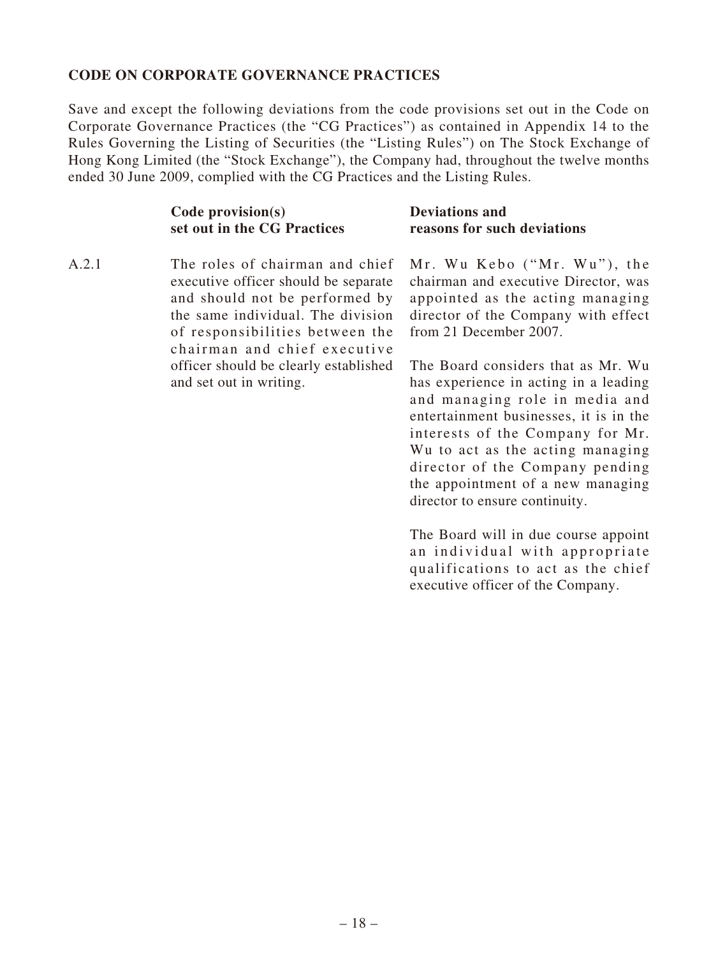#### **CODE ON CORPORATE GOVERNANCE PRACTICES**

Save and except the following deviations from the code provisions set out in the Code on Corporate Governance Practices (the "CG Practices") as contained in Appendix 14 to the Rules Governing the Listing of Securities (the "Listing Rules") on The Stock Exchange of Hong Kong Limited (the "Stock Exchange"), the Company had, throughout the twelve months ended 30 June 2009, complied with the CG Practices and the Listing Rules.

| $Code$ provision(s)         | <b>Deviations and</b>       |
|-----------------------------|-----------------------------|
| set out in the CG Practices | reasons for such deviations |

A.2.1 The roles of chairman and chief executive officer should be separate and should not be performed by the same individual. The division of responsibilities between the chairman and chief executive officer should be clearly established and set out in writing.

 $Mr.$  Wu Kebo  $("Mr. Wu"),$  the chairman and executive Director, was appointed as the acting managing director of the Company with effect from 21 December 2007.

The Board considers that as Mr. Wu has experience in acting in a leading and managing role in media and entertainment businesses, it is in the interests of the Company for Mr. Wu to act as the acting managing director of the Company pending the appointment of a new managing director to ensure continuity.

The Board will in due course appoint an individual with appropriate qualifications to act as the chief executive officer of the Company.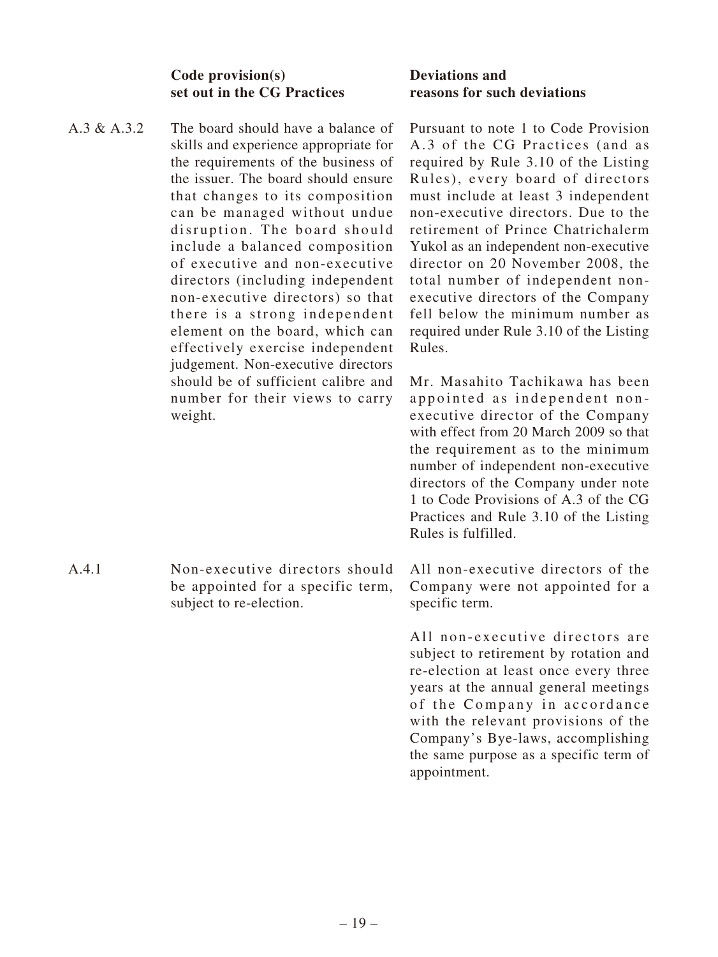#### **Code provision(s) set out in the CG Practices**

A.3 & A.3.2 The board should have a balance of skills and experience appropriate for the requirements of the business of the issuer. The board should ensure that changes to its composition can be managed without undue disruption. The board should include a balanced composition of executive and non-executive directors (including independent non-executive directors) so that there is a strong independent element on the board, which can effectively exercise independent judgement. Non-executive directors should be of sufficient calibre and number for their views to carry weight.

A.4.1 Non-executive directors should be appointed for a specific term, subject to re-election.

#### **Deviations and reasons for such deviations**

Pursuant to note 1 to Code Provision A.3 of the CG Practices (and as required by Rule 3.10 of the Listing Rules), every board of directors must include at least 3 independent non-executive directors. Due to the retirement of Prince Chatrichalerm Yukol as an independent non-executive director on 20 November 2008, the total number of independent nonexecutive directors of the Company fell below the minimum number as required under Rule 3.10 of the Listing Rules.

Mr. Masahito Tachikawa has been appointed as independent nonexecutive director of the Company with effect from 20 March 2009 so that the requirement as to the minimum number of independent non-executive directors of the Company under note 1 to Code Provisions of A.3 of the CG Practices and Rule 3.10 of the Listing Rules is fulfilled.

All non-executive directors of the Company were not appointed for a specific term.

All non-executive directors are subject to retirement by rotation and re-election at least once every three years at the annual general meetings of the Company in accordance with the relevant provisions of the Company's Bye-laws, accomplishing the same purpose as a specific term of appointment.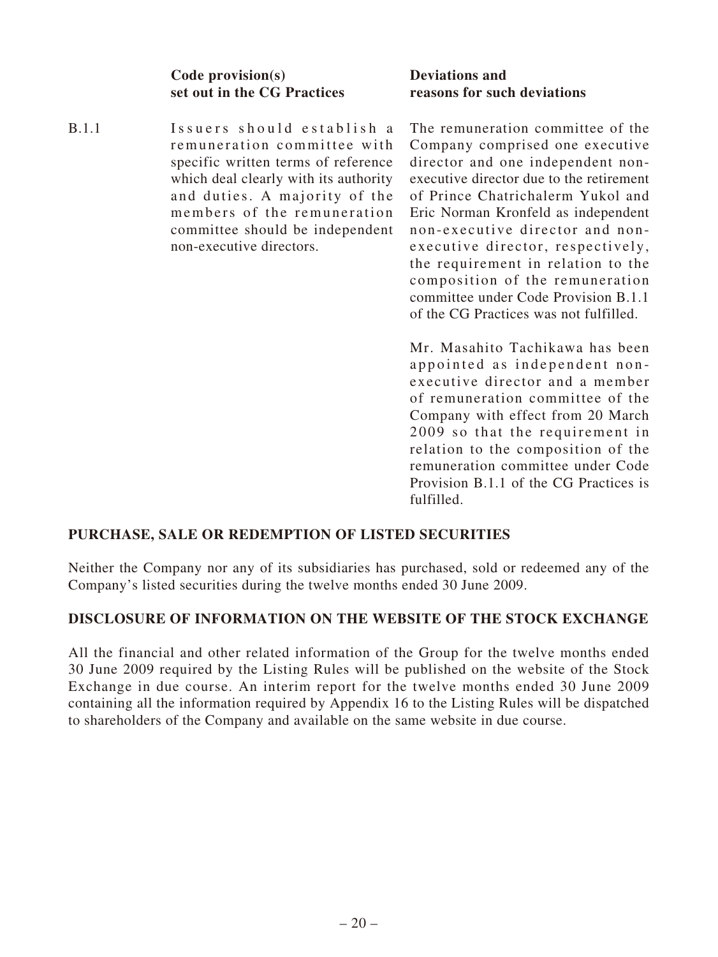**Code provision(s) set out in the CG Practices**

B.1.1 Issuers should establish a remuneration committee with specific written terms of reference which deal clearly with its authority and duties. A majority of the members of the remuneration committee should be independent non-executive directors.

### **Deviations and reasons for such deviations**

The remuneration committee of the Company comprised one executive director and one independent nonexecutive director due to the retirement of Prince Chatrichalerm Yukol and Eric Norman Kronfeld as independent non-executive director and nonexecutive director, respectively, the requirement in relation to the composition of the remuneration committee under Code Provision B.1.1 of the CG Practices was not fulfilled.

Mr. Masahito Tachikawa has been appointed as independent nonexecutive director and a member of remuneration committee of the Company with effect from 20 March 2009 so that the requirement in relation to the composition of the remuneration committee under Code Provision B.1.1 of the CG Practices is fulfilled.

# **PURCHASE, SALE OR REDEMPTION OF LISTED SECURITIES**

Neither the Company nor any of its subsidiaries has purchased, sold or redeemed any of the Company's listed securities during the twelve months ended 30 June 2009.

### **DISCLOSURE OF INFORMATION ON THE WEBSITE OF THE STOCK EXCHANGE**

All the financial and other related information of the Group for the twelve months ended 30 June 2009 required by the Listing Rules will be published on the website of the Stock Exchange in due course. An interim report for the twelve months ended 30 June 2009 containing all the information required by Appendix 16 to the Listing Rules will be dispatched to shareholders of the Company and available on the same website in due course.